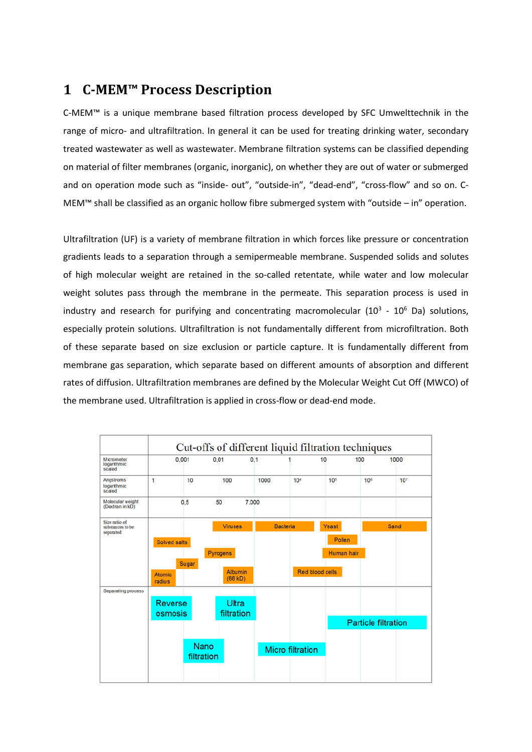# **1 C-MEM™ Process Description**

C-MEM™ is a unique membrane based filtration process developed by SFC Umwelttechnik in the range of micro- and ultrafiltration. In general it can be used for treating drinking water, secondary treated wastewater as well as wastewater. Membrane filtration systems can be classified depending on material of filter membranes (organic, inorganic), on whether they are out of water or submerged and on operation mode such as "inside- out", "outside-in", "dead-end", "cross-flow" and so on. C-MEM™ shall be classified as an organic hollow fibre submerged system with "outside – in" operation.

Ultrafiltration (UF) is a variety of [membrane filtration](http://en.wikipedia.org/wiki/Membrane_technology) in which forces like [pressure](http://en.wikipedia.org/wiki/Pressure) or [concentration](http://en.wikipedia.org/wiki/Concentration_gradient)  [gradients](http://en.wikipedia.org/wiki/Concentration_gradient) leads to a separation through a [semipermeable membrane.](http://en.wikipedia.org/wiki/Semipermeable_membrane) [Suspended solids](http://en.wikipedia.org/wiki/Suspended_solids) and [solutes](http://en.wikipedia.org/wiki/Solution) of high [molecular weight](http://en.wikipedia.org/wiki/Molecular_weight) are retained in the so-called retentate, while water and low molecular weight solutes pass through the membrane in the [permeate.](http://en.wikipedia.org/wiki/Permeation) This [separation process](http://en.wikipedia.org/wiki/Separation_process) is used in industry and research for purifying and concentrating macromolecular  $(10^3 - 10^6$  [Da\)](http://en.wikipedia.org/wiki/Atomic_mass_unit) solutions, especially [protein](http://en.wikipedia.org/wiki/Protein) solutions. Ultrafiltration is not fundamentally different from [microfiltration.](http://en.wikipedia.org/wiki/Microfiltration) Both of these separate based on size exclusion or particle capture. It is fundamentally different from [membrane gas separation,](http://en.wikipedia.org/wiki/Membrane_gas_separation) which separate based on different amounts of [absorption](http://en.wikipedia.org/wiki/Absorption) and different rates o[f diffusion.](http://en.wikipedia.org/wiki/Diffusion) Ultrafiltration membranes are defined by th[e Molecular Weight Cut Off](http://en.wikipedia.org/wiki/Molecular_Weight_Cut_Off) (MWCO) of the membrane used. Ultrafiltration is applied in cross-flow or dead-end mode.

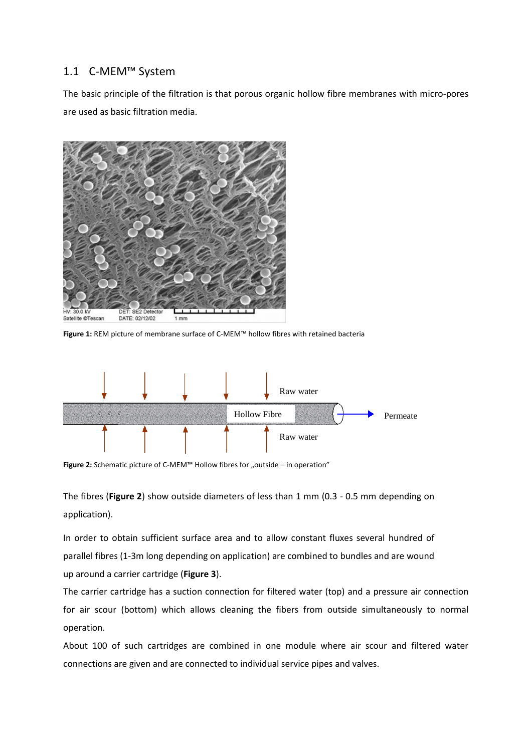## 1.1 C-MEM™ System

The basic principle of the filtration is that porous organic hollow fibre membranes with micro-pores are used as basic filtration media.



**Figure 1:** REM picture of membrane surface of C-MEM™ hollow fibres with retained bacteria



Figure 2: Schematic picture of C-MEM<sup>™</sup> Hollow fibres for "outside – in operation"

The fibres (**Figure 2**) show outside diameters of less than 1 mm (0.3 - 0.5 mm depending on application).

In order to obtain sufficient surface area and to allow constant fluxes several hundred of parallel fibres (1-3m long depending on application) are combined to bundles and are wound up around a carrier cartridge (**Figure 3**).

The carrier cartridge has a suction connection for filtered water (top) and a pressure air connection for air scour (bottom) which allows cleaning the fibers from outside simultaneously to normal operation.

About 100 of such cartridges are combined in one module where air scour and filtered water connections are given and are connected to individual service pipes and valves.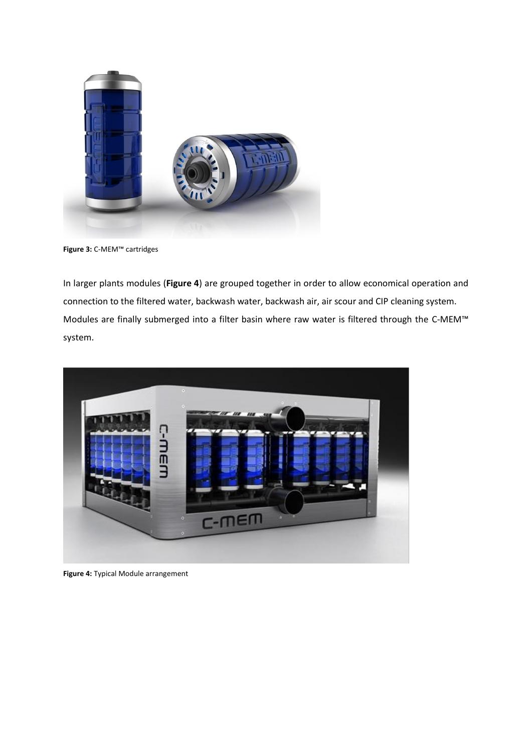

**Figure 3:** C-MEM™ cartridges

In larger plants modules (**Figure 4**) are grouped together in order to allow economical operation and connection to the filtered water, backwash water, backwash air, air scour and CIP cleaning system. Modules are finally submerged into a filter basin where raw water is filtered through the C-MEM™ system.



**Figure 4:** Typical Module arrangement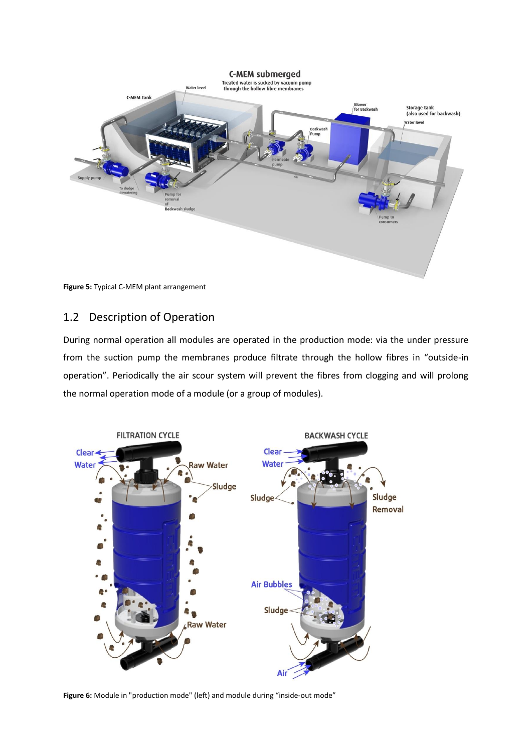**C-MEM submerged** 



**Figure 5:** Typical C-MEM plant arrangement

## 1.2 Description of Operation

During normal operation all modules are operated in the production mode: via the under pressure from the suction pump the membranes produce filtrate through the hollow fibres in "outside-in operation". Periodically the air scour system will prevent the fibres from clogging and will prolong the normal operation mode of a module (or a group of modules).



**Figure 6:** Module in "production mode" (left) and module during "inside-out mode"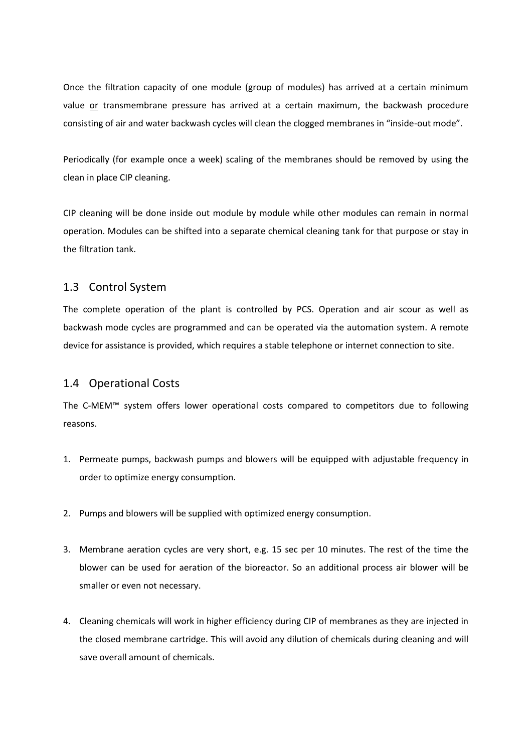Once the filtration capacity of one module (group of modules) has arrived at a certain minimum value or transmembrane pressure has arrived at a certain maximum, the backwash procedure consisting of air and water backwash cycles will clean the clogged membranes in "inside-out mode".

Periodically (for example once a week) scaling of the membranes should be removed by using the clean in place CIP cleaning.

CIP cleaning will be done inside out module by module while other modules can remain in normal operation. Modules can be shifted into a separate chemical cleaning tank for that purpose or stay in the filtration tank.

### 1.3 Control System

The complete operation of the plant is controlled by PCS. Operation and air scour as well as backwash mode cycles are programmed and can be operated via the automation system. A remote device for assistance is provided, which requires a stable telephone or internet connection to site.

#### 1.4 Operational Costs

The C-MEM™ system offers lower operational costs compared to competitors due to following reasons.

- 1. Permeate pumps, backwash pumps and blowers will be equipped with adjustable frequency in order to optimize energy consumption.
- 2. Pumps and blowers will be supplied with optimized energy consumption.
- 3. Membrane aeration cycles are very short, e.g. 15 sec per 10 minutes. The rest of the time the blower can be used for aeration of the bioreactor. So an additional process air blower will be smaller or even not necessary.
- 4. Cleaning chemicals will work in higher efficiency during CIP of membranes as they are injected in the closed membrane cartridge. This will avoid any dilution of chemicals during cleaning and will save overall amount of chemicals.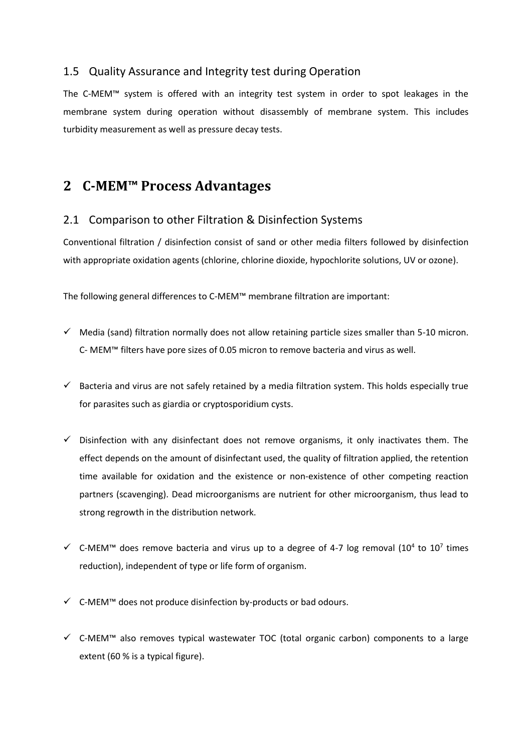## 1.5 Quality Assurance and Integrity test during Operation

The C-MEM™ system is offered with an integrity test system in order to spot leakages in the membrane system during operation without disassembly of membrane system. This includes turbidity measurement as well as pressure decay tests.

# **2 C-MEM™ Process Advantages**

### 2.1 Comparison to other Filtration & Disinfection Systems

Conventional filtration / disinfection consist of sand or other media filters followed by disinfection with appropriate oxidation agents (chlorine, chlorine dioxide, hypochlorite solutions, UV or ozone).

The following general differences to C-MEM™ membrane filtration are important:

- $\checkmark$  Media (sand) filtration normally does not allow retaining particle sizes smaller than 5-10 micron. C- MEM™ filters have pore sizes of 0.05 micron to remove bacteria and virus as well.
- $\checkmark$  Bacteria and virus are not safely retained by a media filtration system. This holds especially true for parasites such as giardia or cryptosporidium cysts.
- $\checkmark$  Disinfection with any disinfectant does not remove organisms, it only inactivates them. The effect depends on the amount of disinfectant used, the quality of filtration applied, the retention time available for oxidation and the existence or non-existence of other competing reaction partners (scavenging). Dead microorganisms are nutrient for other microorganism, thus lead to strong regrowth in the distribution network.
- $\checkmark$  C-MEM<sup>™</sup> does remove bacteria and virus up to a degree of 4-7 log removal (10<sup>4</sup> to 10<sup>7</sup> times reduction), independent of type or life form of organism.
- $\checkmark$  C-MEM<sup>™</sup> does not produce disinfection by-products or bad odours.
- $\checkmark$  C-MEM<sup>™</sup> also removes typical wastewater TOC (total organic carbon) components to a large extent (60 % is a typical figure).